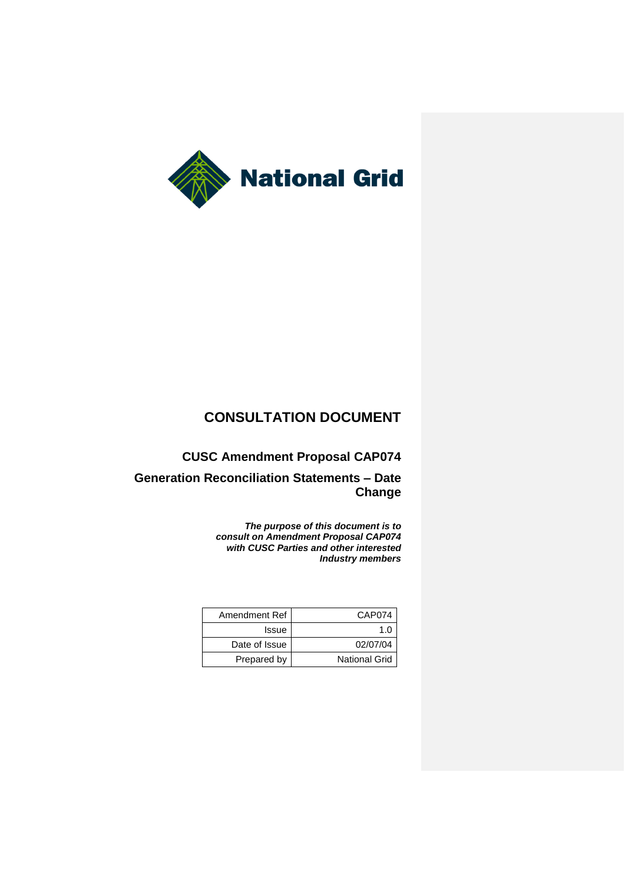

# **CONSULTATION DOCUMENT**

**CUSC Amendment Proposal CAP074**

**Generation Reconciliation Statements – Date Change**

> *The purpose of this document is to consult on Amendment Proposal CAP074 with CUSC Parties and other interested Industry members*

| Amendment Ref | CAP074               |
|---------------|----------------------|
| Issue         | 1 በ                  |
| Date of Issue | 02/07/04             |
| Prepared by   | <b>National Grid</b> |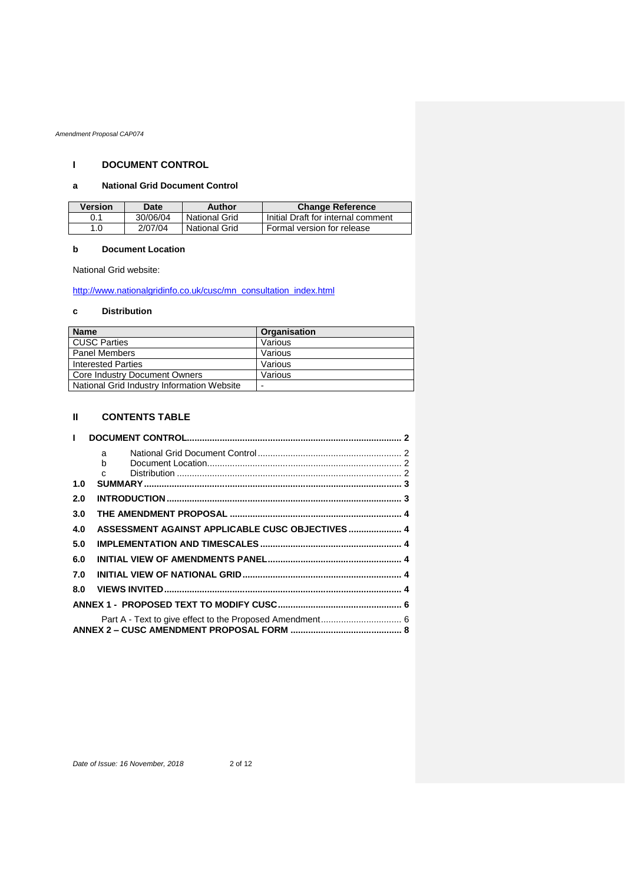# **I DOCUMENT CONTROL**

# **a National Grid Document Control**

| <b>Version</b> | Date     | Author        | <b>Change Reference</b>            |
|----------------|----------|---------------|------------------------------------|
| 0.1            | 30/06/04 | National Grid | Initial Draft for internal comment |
| 1.0            | 2/07/04  | National Grid | Formal version for release         |

# **b Document Location**

National Grid website:

[http://www.nationalgridinfo.co.uk/cusc/mn\\_consultation\\_index.html](http://www.nationalgridinfo.co.uk/cusc/mn_consultation_index.html)

# **c Distribution**

| <b>Name</b>                                | Organisation |
|--------------------------------------------|--------------|
| <b>CUSC Parties</b>                        | Various      |
| <b>Panel Members</b>                       | Various      |
| <b>Interested Parties</b>                  | Various      |
| Core Industry Document Owners              | Various      |
| National Grid Industry Information Website |              |

# **II CONTENTS TABLE**

| $\mathbf{L}$ |                                                  |  |
|--------------|--------------------------------------------------|--|
|              | a i                                              |  |
|              | h —                                              |  |
|              | $\mathsf{C}$                                     |  |
| 1.0          |                                                  |  |
| 2.0          |                                                  |  |
| 3.0          |                                                  |  |
| 4.0          | ASSESSMENT AGAINST APPLICABLE CUSC OBJECTIVES  4 |  |
| 5.0          |                                                  |  |
| 6.0          |                                                  |  |
| 7.0          |                                                  |  |
| 8.0          |                                                  |  |
|              |                                                  |  |
|              |                                                  |  |
|              |                                                  |  |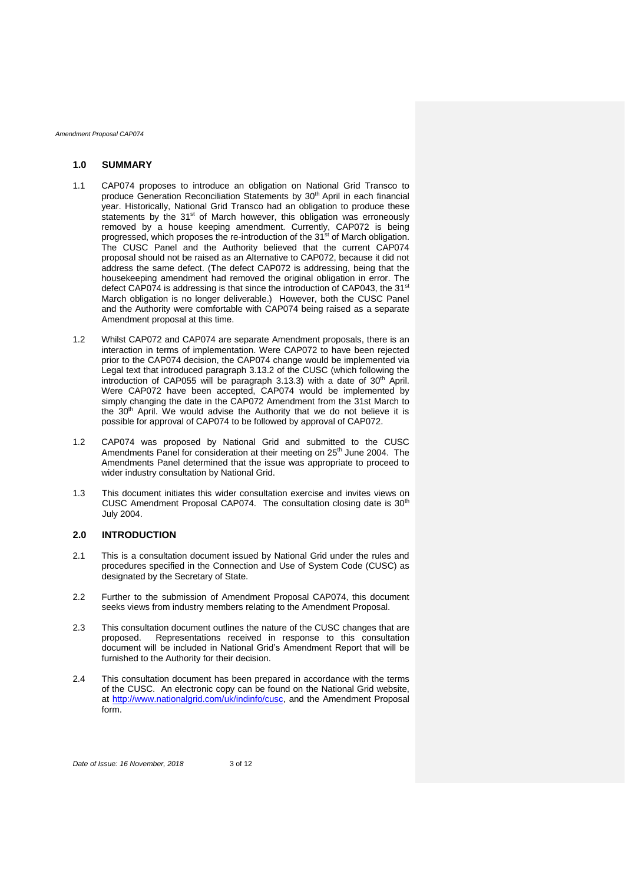### **1.0 SUMMARY**

- 1.1 CAP074 proposes to introduce an obligation on National Grid Transco to produce Generation Reconciliation Statements by 30<sup>th</sup> April in each financial year. Historically, National Grid Transco had an obligation to produce these statements by the  $31<sup>st</sup>$  of March however, this obligation was erroneously removed by a house keeping amendment. Currently, CAP072 is being progressed, which proposes the re-introduction of the 31<sup>st</sup> of March obligation. The CUSC Panel and the Authority believed that the current CAP074 proposal should not be raised as an Alternative to CAP072, because it did not address the same defect. (The defect CAP072 is addressing, being that the housekeeping amendment had removed the original obligation in error. The defect CAP074 is addressing is that since the introduction of CAP043, the 31<sup>st</sup> March obligation is no longer deliverable.) However, both the CUSC Panel and the Authority were comfortable with CAP074 being raised as a separate Amendment proposal at this time.
- 1.2 Whilst CAP072 and CAP074 are separate Amendment proposals, there is an interaction in terms of implementation. Were CAP072 to have been rejected prior to the CAP074 decision, the CAP074 change would be implemented via Legal text that introduced paragraph 3.13.2 of the CUSC (which following the introduction of CAP055 will be paragraph 3.13.3) with a date of  $30<sup>th</sup>$  April. Were CAP072 have been accepted, CAP074 would be implemented by simply changing the date in the CAP072 Amendment from the 31st March to the 30<sup>th</sup> April. We would advise the Authority that we do not believe it is possible for approval of CAP074 to be followed by approval of CAP072.
- 1.2 CAP074 was proposed by National Grid and submitted to the CUSC Amendments Panel for consideration at their meeting on 25<sup>th</sup> June 2004. The Amendments Panel determined that the issue was appropriate to proceed to wider industry consultation by National Grid.
- 1.3 This document initiates this wider consultation exercise and invites views on CUSC Amendment Proposal CAP074. The consultation closing date is 30<sup>th</sup> July 2004.

## **2.0 INTRODUCTION**

- 2.1 This is a consultation document issued by National Grid under the rules and procedures specified in the Connection and Use of System Code (CUSC) as designated by the Secretary of State.
- 2.2 Further to the submission of Amendment Proposal CAP074, this document seeks views from industry members relating to the Amendment Proposal.
- 2.3 This consultation document outlines the nature of the CUSC changes that are proposed. Representations received in response to this consultation document will be included in National Grid's Amendment Report that will be furnished to the Authority for their decision.
- 2.4 This consultation document has been prepared in accordance with the terms of the CUSC. An electronic copy can be found on the National Grid website, at [http://www.nationalgrid.com/uk/indinfo/cusc,](http://www.nationalgridinfo.co.uk/cusc) and the Amendment Proposal form.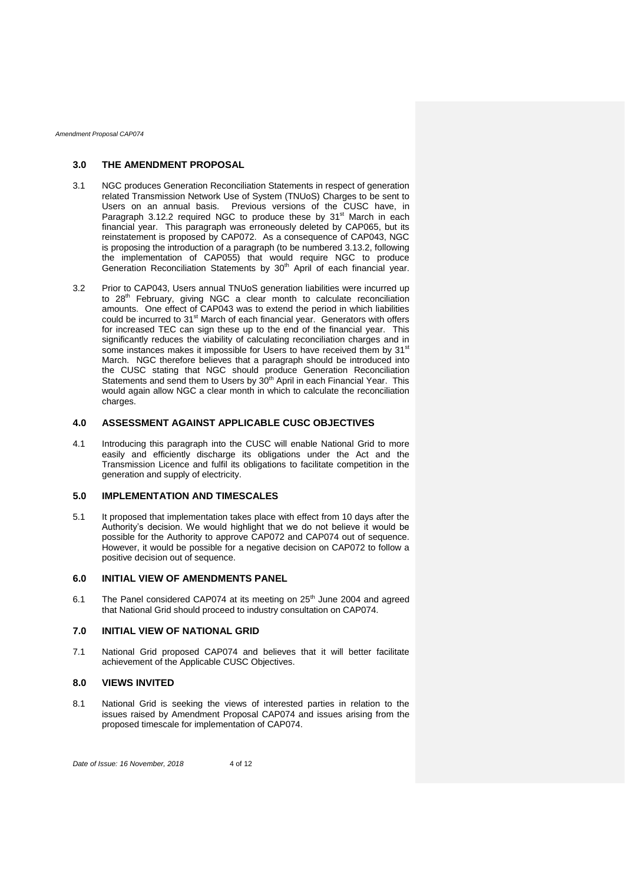### **3.0 THE AMENDMENT PROPOSAL**

- 3.1 NGC produces Generation Reconciliation Statements in respect of generation related Transmission Network Use of System (TNUoS) Charges to be sent to Users on an annual basis. Previous versions of the CUSC have, in Paragraph 3.12.2 required NGC to produce these by 31<sup>st</sup> March in each financial year. This paragraph was erroneously deleted by CAP065, but its reinstatement is proposed by CAP072. As a consequence of CAP043, NGC is proposing the introduction of a paragraph (to be numbered 3.13.2, following the implementation of CAP055) that would require NGC to produce Generation Reconciliation Statements by 30<sup>th</sup> April of each financial year.
- 3.2 Prior to CAP043, Users annual TNUoS generation liabilities were incurred up to 28<sup>th</sup> February, giving NGC a clear month to calculate reconciliation amounts. One effect of CAP043 was to extend the period in which liabilities could be incurred to 31<sup>st</sup> March of each financial year. Generators with offers for increased TEC can sign these up to the end of the financial year. This significantly reduces the viability of calculating reconciliation charges and in some instances makes it impossible for Users to have received them by 31<sup>st</sup> March. NGC therefore believes that a paragraph should be introduced into the CUSC stating that NGC should produce Generation Reconciliation Statements and send them to Users by 30<sup>th</sup> April in each Financial Year. This would again allow NGC a clear month in which to calculate the reconciliation charges.

### **4.0 ASSESSMENT AGAINST APPLICABLE CUSC OBJECTIVES**

4.1 Introducing this paragraph into the CUSC will enable National Grid to more easily and efficiently discharge its obligations under the Act and the Transmission Licence and fulfil its obligations to facilitate competition in the generation and supply of electricity.

# **5.0 IMPLEMENTATION AND TIMESCALES**

5.1 It proposed that implementation takes place with effect from 10 days after the Authority's decision. We would highlight that we do not believe it would be possible for the Authority to approve CAP072 and CAP074 out of sequence. However, it would be possible for a negative decision on CAP072 to follow a positive decision out of sequence.

# **6.0 INITIAL VIEW OF AMENDMENTS PANEL**

6.1 The Panel considered CAP074 at its meeting on 25<sup>th</sup> June 2004 and agreed that National Grid should proceed to industry consultation on CAP074.

### **7.0 INITIAL VIEW OF NATIONAL GRID**

7.1 National Grid proposed CAP074 and believes that it will better facilitate achievement of the Applicable CUSC Objectives.

### **8.0 VIEWS INVITED**

8.1 National Grid is seeking the views of interested parties in relation to the issues raised by Amendment Proposal CAP074 and issues arising from the proposed timescale for implementation of CAP074.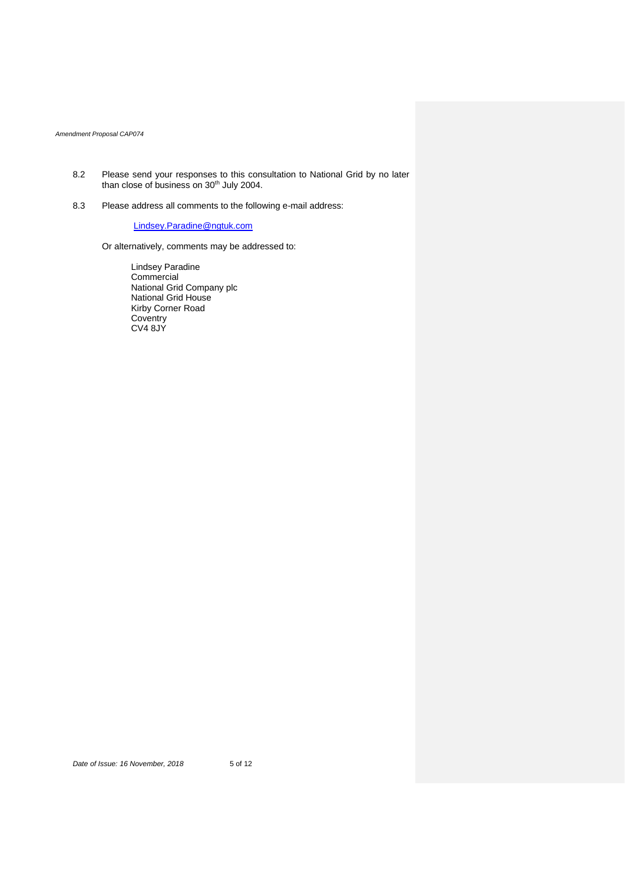- 8.2 Please send your responses to this consultation to National Grid by no later than close of business on 30<sup>th</sup> July 2004.
- 8.3 Please address all comments to the following e-mail address:

[Lindsey.Paradine@ngtuk.com](mailto:Lindsey.Paradine@ngtuk.com)

Or alternatively, comments may be addressed to:

Lindsey Paradine Commercial National Grid Company plc National Grid House Kirby Corner Road Coventry CV4 8JY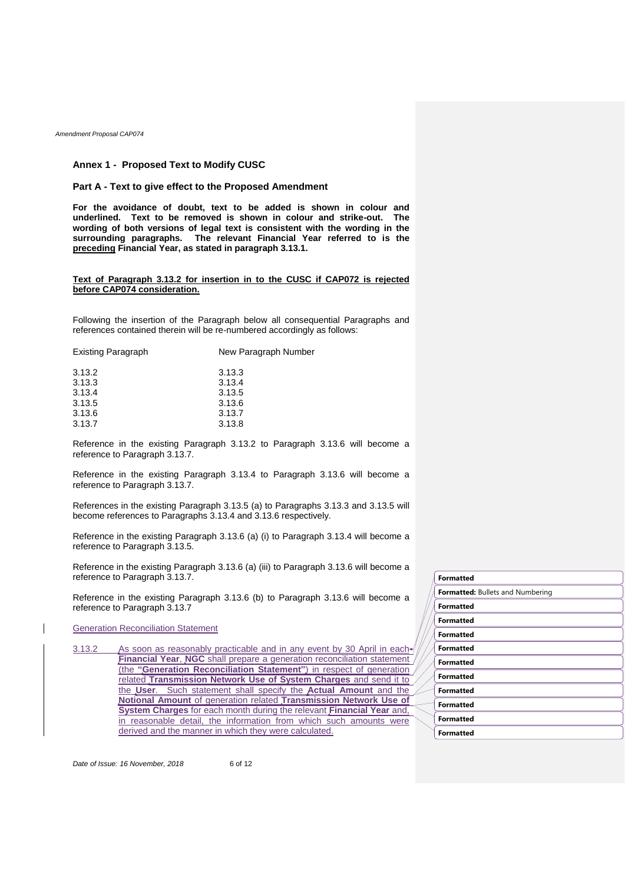### **Annex 1 - Proposed Text to Modify CUSC**

### **Part A - Text to give effect to the Proposed Amendment**

**For the avoidance of doubt, text to be added is shown in colour and underlined. Text to be removed is shown in colour and strike-out. The wording of both versions of legal text is consistent with the wording in the surrounding paragraphs. The relevant Financial Year referred to is the preceding Financial Year, as stated in paragraph 3.13.1.**

### **Text of Paragraph 3.13.2 for insertion in to the CUSC if CAP072 is rejected before CAP074 consideration.**

Following the insertion of the Paragraph below all consequential Paragraphs and references contained therein will be re-numbered accordingly as follows:

| <b>Existing Paragraph</b> | New Paragraph Number |
|---------------------------|----------------------|
| 3.13.2                    | 3.13.3               |
| 3.13.3                    | 3.13.4               |
| 3.13.4                    | 3.13.5               |
| 3.13.5                    | 3.13.6               |
| 3.13.6                    | 3.13.7               |
| 3.13.7                    | 3.13.8               |
|                           |                      |

Reference in the existing Paragraph 3.13.2 to Paragraph 3.13.6 will become a reference to Paragraph 3.13.7.

Reference in the existing Paragraph 3.13.4 to Paragraph 3.13.6 will become a reference to Paragraph 3.13.7.

References in the existing Paragraph 3.13.5 (a) to Paragraphs 3.13.3 and 3.13.5 will become references to Paragraphs 3.13.4 and 3.13.6 respectively.

Reference in the existing Paragraph 3.13.6 (a) (i) to Paragraph 3.13.4 will become a reference to Paragraph 3.13.5.

Reference in the existing Paragraph 3.13.6 (a) (iii) to Paragraph 3.13.6 will become a reference to Paragraph 3.13.7.

Reference in the existing Paragraph 3.13.6 (b) to Paragraph 3.13.6 will become a reference to Paragraph 3.13.7

## Generation Reconciliation Statement

3.13.2 As soon as reasonably practicable and in any event by 30 April in each **Financial Year**, **NGC** shall prepare a generation reconciliation statement (the **"Generation Reconciliation Statement"**) in respect of generation related **Transmission Network Use of System Charges** and send it to the **User**. Such statement shall specify the **Actual Amount** and the **Notional Amount** of generation related **Transmission Network Use of System Charges** for each month during the relevant **Financial Year** and, in reasonable detail, the information from which such amounts were derived and the manner in which they were calculated.

*Date of Issue: 16 November, 2018* 6 of 12

**Formatted Formatted:** Bullets and Numbering **Formatted Formatted Formatted Formatted Formatted Formatted Formatted Formatted Formatted Formatted**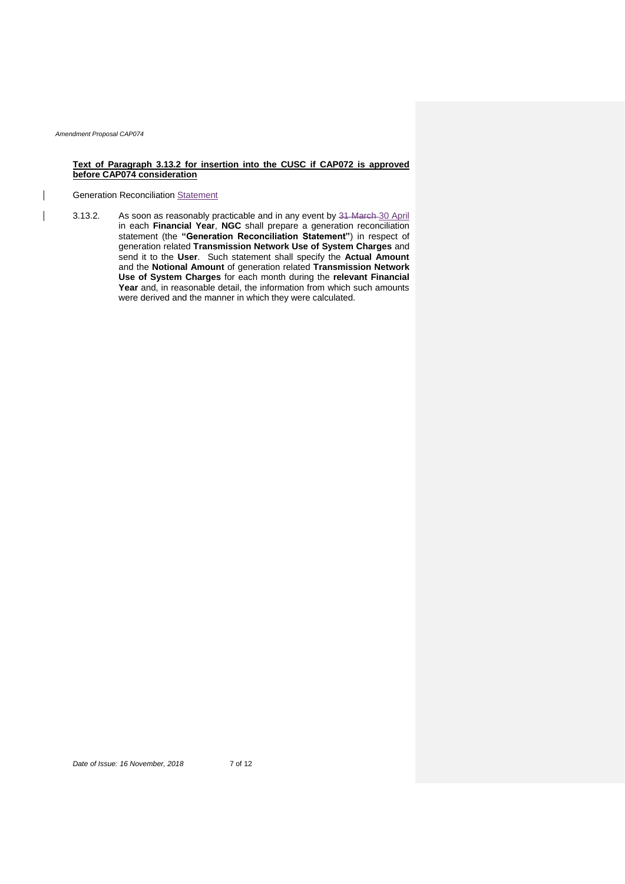# **Text of Paragraph 3.13.2 for insertion into the CUSC if CAP072 is approved before CAP074 consideration**

# Generation Reconciliation Statement

3.13.2. As soon as reasonably practicable and in any event by 31 March 30 April in each **Financial Year**, **NGC** shall prepare a generation reconciliation statement (the **"Generation Reconciliation Statement"**) in respect of generation related **Transmission Network Use of System Charges** and send it to the **User**. Such statement shall specify the **Actual Amount** and the **Notional Amount** of generation related **Transmission Network Use of System Charges** for each month during the **relevant Financial Year** and, in reasonable detail, the information from which such amounts were derived and the manner in which they were calculated.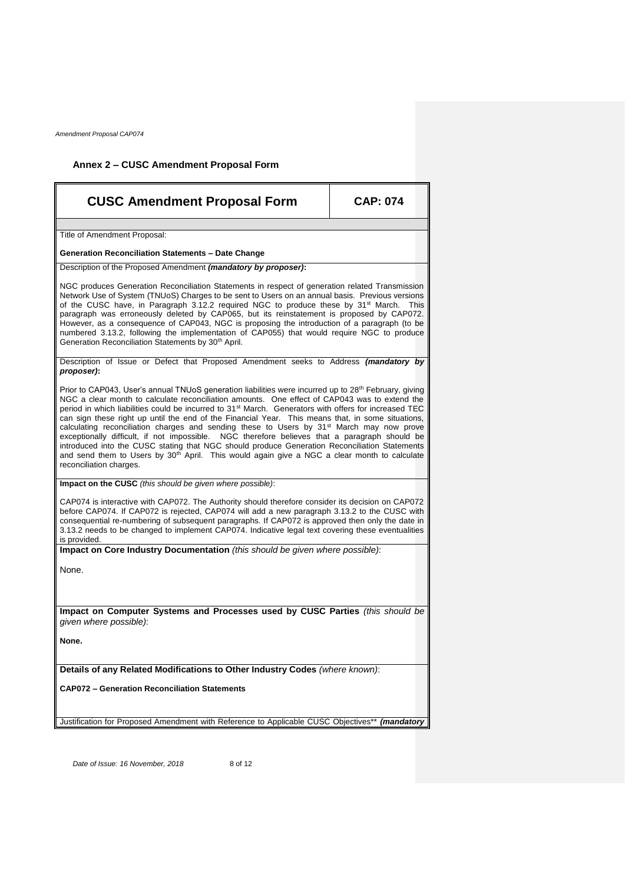# **Annex 2 – CUSC Amendment Proposal Form**

| <b>CUSC Amendment Proposal Form</b>                                                                                                                                                                                                                                                                                                                                                                                                                                                                                                                                                                                                                                                                                                                                                                                                                                                            | <b>CAP: 074</b> |  |
|------------------------------------------------------------------------------------------------------------------------------------------------------------------------------------------------------------------------------------------------------------------------------------------------------------------------------------------------------------------------------------------------------------------------------------------------------------------------------------------------------------------------------------------------------------------------------------------------------------------------------------------------------------------------------------------------------------------------------------------------------------------------------------------------------------------------------------------------------------------------------------------------|-----------------|--|
| Title of Amendment Proposal:                                                                                                                                                                                                                                                                                                                                                                                                                                                                                                                                                                                                                                                                                                                                                                                                                                                                   |                 |  |
| <b>Generation Reconciliation Statements - Date Change</b>                                                                                                                                                                                                                                                                                                                                                                                                                                                                                                                                                                                                                                                                                                                                                                                                                                      |                 |  |
| Description of the Proposed Amendment (mandatory by proposer):                                                                                                                                                                                                                                                                                                                                                                                                                                                                                                                                                                                                                                                                                                                                                                                                                                 |                 |  |
| NGC produces Generation Reconciliation Statements in respect of generation related Transmission<br>Network Use of System (TNUoS) Charges to be sent to Users on an annual basis. Previous versions<br>of the CUSC have, in Paragraph 3.12.2 required NGC to produce these by $31^{st}$ March.<br><b>This</b><br>paragraph was erroneously deleted by CAP065, but its reinstatement is proposed by CAP072.<br>However, as a consequence of CAP043, NGC is proposing the introduction of a paragraph (to be<br>numbered 3.13.2, following the implementation of CAP055) that would require NGC to produce<br>Generation Reconciliation Statements by 30 <sup>th</sup> April.                                                                                                                                                                                                                     |                 |  |
| Description of Issue or Defect that Proposed Amendment seeks to Address (mandatory by<br>proposer):                                                                                                                                                                                                                                                                                                                                                                                                                                                                                                                                                                                                                                                                                                                                                                                            |                 |  |
| Prior to CAP043, User's annual TNUoS generation liabilities were incurred up to 28 <sup>th</sup> February, giving<br>NGC a clear month to calculate reconciliation amounts. One effect of CAP043 was to extend the<br>period in which liabilities could be incurred to 31 <sup>st</sup> March. Generators with offers for increased TEC<br>can sign these right up until the end of the Financial Year. This means that, in some situations,<br>calculating reconciliation charges and sending these to Users by 31 <sup>st</sup> March may now prove<br>exceptionally difficult, if not impossible. NGC therefore believes that a paragraph should be<br>introduced into the CUSC stating that NGC should produce Generation Reconciliation Statements<br>and send them to Users by 30 <sup>th</sup> April. This would again give a NGC a clear month to calculate<br>reconciliation charges. |                 |  |
| Impact on the CUSC (this should be given where possible):                                                                                                                                                                                                                                                                                                                                                                                                                                                                                                                                                                                                                                                                                                                                                                                                                                      |                 |  |
| CAP074 is interactive with CAP072. The Authority should therefore consider its decision on CAP072<br>before CAP074. If CAP072 is rejected, CAP074 will add a new paragraph 3.13.2 to the CUSC with<br>consequential re-numbering of subsequent paragraphs. If CAP072 is approved then only the date in<br>3.13.2 needs to be changed to implement CAP074. Indicative legal text covering these eventualities<br>is provided.                                                                                                                                                                                                                                                                                                                                                                                                                                                                   |                 |  |
| Impact on Core Industry Documentation (this should be given where possible):                                                                                                                                                                                                                                                                                                                                                                                                                                                                                                                                                                                                                                                                                                                                                                                                                   |                 |  |
| None.                                                                                                                                                                                                                                                                                                                                                                                                                                                                                                                                                                                                                                                                                                                                                                                                                                                                                          |                 |  |
| Impact on Computer Systems and Processes used by CUSC Parties (this should be<br>given where possible):                                                                                                                                                                                                                                                                                                                                                                                                                                                                                                                                                                                                                                                                                                                                                                                        |                 |  |
| None.                                                                                                                                                                                                                                                                                                                                                                                                                                                                                                                                                                                                                                                                                                                                                                                                                                                                                          |                 |  |
| Details of any Related Modifications to Other Industry Codes (where known):                                                                                                                                                                                                                                                                                                                                                                                                                                                                                                                                                                                                                                                                                                                                                                                                                    |                 |  |
| <b>CAP072 - Generation Reconciliation Statements</b>                                                                                                                                                                                                                                                                                                                                                                                                                                                                                                                                                                                                                                                                                                                                                                                                                                           |                 |  |
| Justification for Proposed Amendment with Reference to Applicable CUSC Objectives** (mandatory                                                                                                                                                                                                                                                                                                                                                                                                                                                                                                                                                                                                                                                                                                                                                                                                 |                 |  |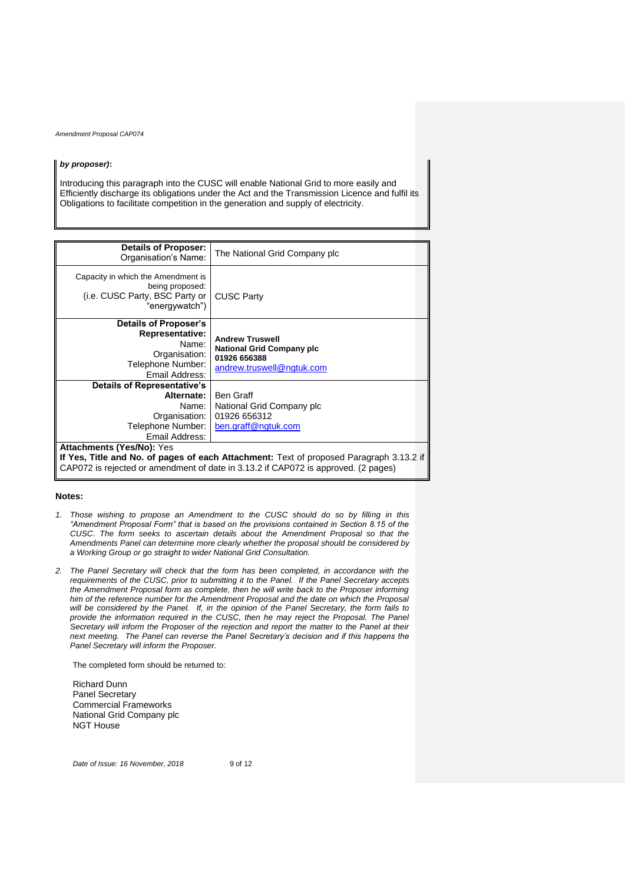#### *by proposer)***:**

Introducing this paragraph into the CUSC will enable National Grid to more easily and Efficiently discharge its obligations under the Act and the Transmission Licence and fulfil its Obligations to facilitate competition in the generation and supply of electricity.

| Details of Proposer:<br>Organisation's Name:                                                                                                                                                                      | The National Grid Company plc                                                                           |  |
|-------------------------------------------------------------------------------------------------------------------------------------------------------------------------------------------------------------------|---------------------------------------------------------------------------------------------------------|--|
| Capacity in which the Amendment is<br>being proposed:<br>(i.e. CUSC Party, BSC Party or<br>"energywatch")                                                                                                         | <b>CUSC Party</b>                                                                                       |  |
| Details of Proposer's<br><b>Representative:</b><br>Name:<br>Organisation:<br>Telephone Number:<br>Email Address:                                                                                                  | <b>Andrew Truswell</b><br><b>National Grid Company plc</b><br>01926 656388<br>andrew.truswell@ngtuk.com |  |
| <b>Details of Representative's</b><br>Alternate:<br>Name:<br>Organisation:<br>Telephone Number:<br>Email Address:                                                                                                 | Ben Graff<br>National Grid Company plc<br>01926 656312<br>ben.graff@ngtuk.com                           |  |
| <b>Attachments (Yes/No): Yes</b><br>If Yes, Title and No. of pages of each Attachment: Text of proposed Paragraph 3.13.2 if<br>CAP072 is rejected or amendment of date in 3.13.2 if CAP072 is approved. (2 pages) |                                                                                                         |  |

### **Notes:**

- *1. Those wishing to propose an Amendment to the CUSC should do so by filling in this "Amendment Proposal Form" that is based on the provisions contained in Section 8.15 of the CUSC. The form seeks to ascertain details about the Amendment Proposal so that the Amendments Panel can determine more clearly whether the proposal should be considered by a Working Group or go straight to wider National Grid Consultation.*
- *2. The Panel Secretary will check that the form has been completed, in accordance with the requirements of the CUSC, prior to submitting it to the Panel. If the Panel Secretary accepts the Amendment Proposal form as complete, then he will write back to the Proposer informing him of the reference number for the Amendment Proposal and the date on which the Proposal will be considered by the Panel. If, in the opinion of the Panel Secretary, the form fails to provide the information required in the CUSC, then he may reject the Proposal. The Panel Secretary will inform the Proposer of the rejection and report the matter to the Panel at their next meeting. The Panel can reverse the Panel Secretary's decision and if this happens the Panel Secretary will inform the Proposer.*

The completed form should be returned to:

Richard Dunn Panel Secretary Commercial Frameworks National Grid Company plc NGT House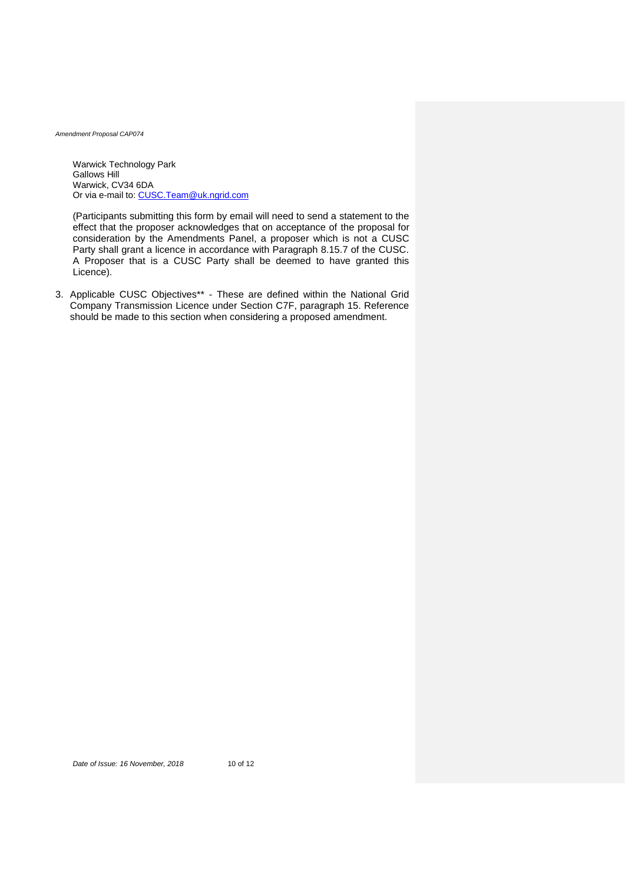Warwick Technology Park Gallows Hill Warwick, CV34 6DA Or via e-mail to: [CUSC.Team@uk.ngrid.com](mailto:CUSC.Team@uk.ngrid.com)

(Participants submitting this form by email will need to send a statement to the effect that the proposer acknowledges that on acceptance of the proposal for consideration by the Amendments Panel, a proposer which is not a CUSC Party shall grant a licence in accordance with Paragraph 8.15.7 of the CUSC. A Proposer that is a CUSC Party shall be deemed to have granted this Licence).

3. Applicable CUSC Objectives\*\* - These are defined within the National Grid Company Transmission Licence under Section C7F, paragraph 15. Reference should be made to this section when considering a proposed amendment.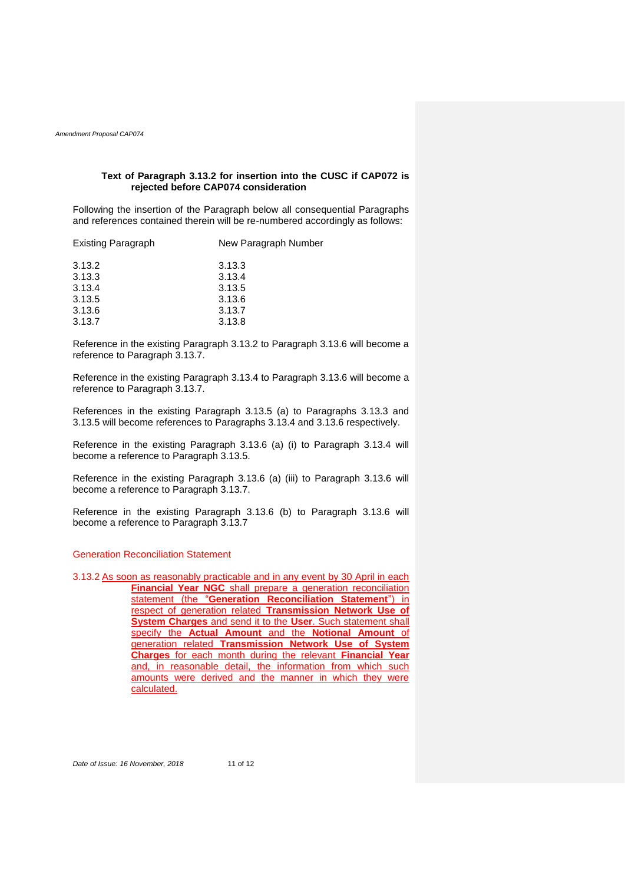# **Text of Paragraph 3.13.2 for insertion into the CUSC if CAP072 is rejected before CAP074 consideration**

Following the insertion of the Paragraph below all consequential Paragraphs and references contained therein will be re-numbered accordingly as follows:

| Existing Paragraph | New Paragraph Number |
|--------------------|----------------------|
| 3.13.2             | 3.13.3               |
| 3.13.3             | 3.13.4               |
| 3.13.4             | 3.13.5               |
| 3.13.5             | 3.13.6               |
| 3.13.6             | 3.13.7               |
| 3.13.7             | 3.13.8               |

Reference in the existing Paragraph 3.13.2 to Paragraph 3.13.6 will become a reference to Paragraph 3.13.7.

Reference in the existing Paragraph 3.13.4 to Paragraph 3.13.6 will become a reference to Paragraph 3.13.7.

References in the existing Paragraph 3.13.5 (a) to Paragraphs 3.13.3 and 3.13.5 will become references to Paragraphs 3.13.4 and 3.13.6 respectively.

Reference in the existing Paragraph 3.13.6 (a) (i) to Paragraph 3.13.4 will become a reference to Paragraph 3.13.5.

Reference in the existing Paragraph 3.13.6 (a) (iii) to Paragraph 3.13.6 will become a reference to Paragraph 3.13.7.

Reference in the existing Paragraph 3.13.6 (b) to Paragraph 3.13.6 will become a reference to Paragraph 3.13.7

# Generation Reconciliation Statement

3.13.2 As soon as reasonably practicable and in any event by 30 April in each **Financial Year NGC** shall prepare a generation reconciliation statement (the "**Generation Reconciliation Statement**") in respect of generation related **Transmission Network Use of System Charges** and send it to the **User**. Such statement shall specify the **Actual Amount** and the **Notional Amount** of generation related **Transmission Network Use of System Charges** for each month during the relevant **Financial Year** and, in reasonable detail, the information from which such amounts were derived and the manner in which they were calculated.

*Date of Issue: 16 November, 2018* 11 of 12